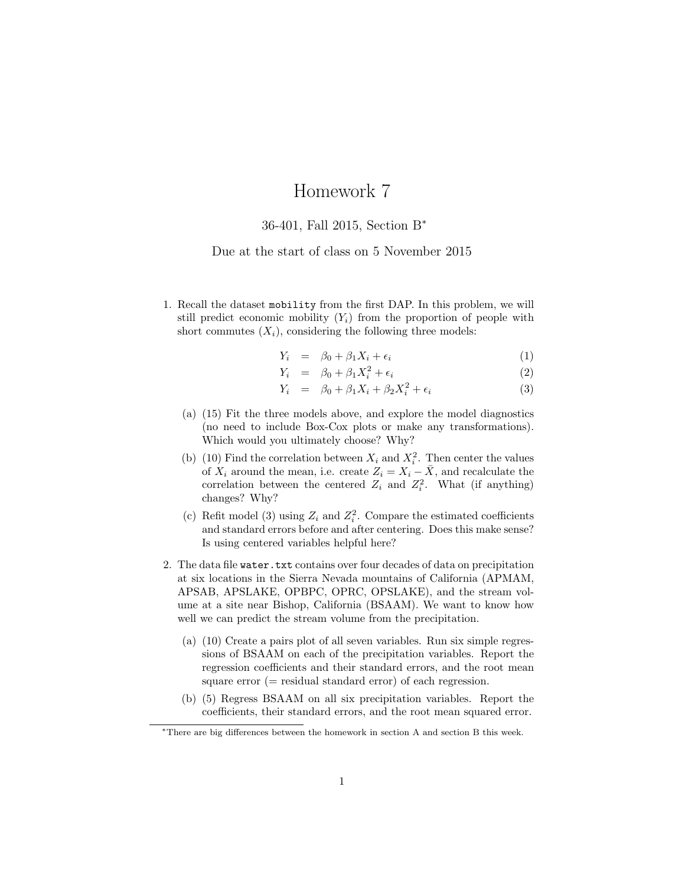## Homework 7

## 36-401, Fall 2015, Section B<sup>∗</sup>

## Due at the start of class on 5 November 2015

1. Recall the dataset mobility from the first DAP. In this problem, we will still predict economic mobility  $(Y_i)$  from the proportion of people with short commutes  $(X_i)$ , considering the following three models:

$$
Y_i = \beta_0 + \beta_1 X_i + \epsilon_i \tag{1}
$$

$$
Y_i = \beta_0 + \beta_1 X_i^2 + \epsilon_i \tag{2}
$$

$$
Y_i = \beta_0 + \beta_1 X_i + \beta_2 X_i^2 + \epsilon_i \tag{3}
$$

- (a) (15) Fit the three models above, and explore the model diagnostics (no need to include Box-Cox plots or make any transformations). Which would you ultimately choose? Why?
- (b) (10) Find the correlation between  $X_i$  and  $X_i^2$ . Then center the values of  $X_i$  around the mean, i.e. create  $Z_i = X_i - \overline{X}$ , and recalculate the correlation between the centered  $Z_i$  and  $Z_i^2$ . What (if anything) changes? Why?
- (c) Refit model (3) using  $Z_i$  and  $Z_i^2$ . Compare the estimated coefficients and standard errors before and after centering. Does this make sense? Is using centered variables helpful here?
- <span id="page-0-0"></span>2. The data file water.txt contains over four decades of data on precipitation at six locations in the Sierra Nevada mountains of California (APMAM, APSAB, APSLAKE, OPBPC, OPRC, OPSLAKE), and the stream volume at a site near Bishop, California (BSAAM). We want to know how well we can predict the stream volume from the precipitation.
	- (a) (10) Create a pairs plot of all seven variables. Run six simple regressions of BSAAM on each of the precipitation variables. Report the regression coefficients and their standard errors, and the root mean square error  $(=$  residual standard error) of each regression.
	- (b) (5) Regress BSAAM on all six precipitation variables. Report the coefficients, their standard errors, and the root mean squared error.

<span id="page-0-1"></span><sup>∗</sup>There are big differences between the homework in section A and section B this week.